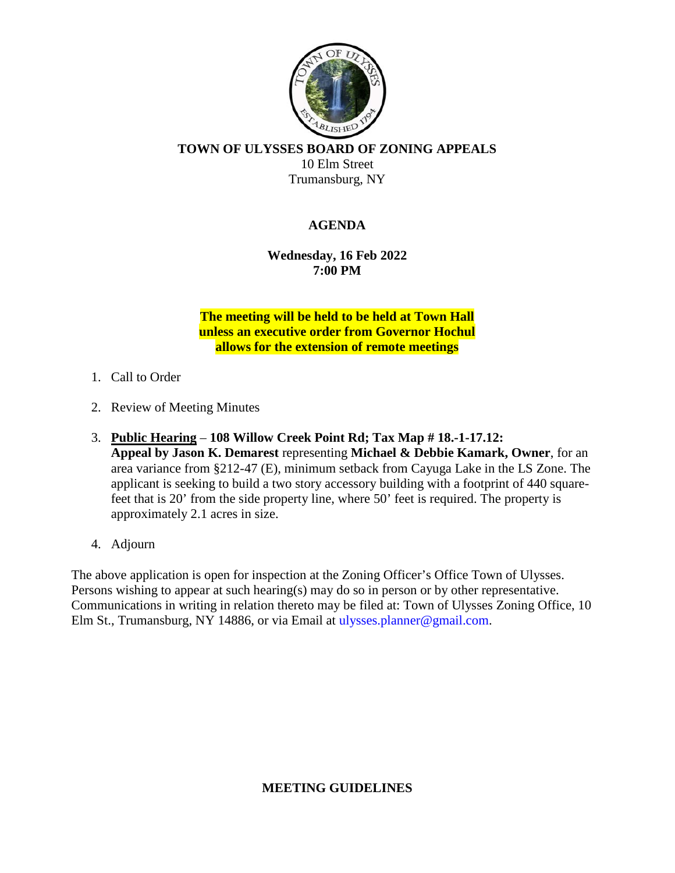

**TOWN OF ULYSSES BOARD OF ZONING APPEALS**

10 Elm Street Trumansburg, NY

## **AGENDA**

**Wednesday, 16 Feb 2022 7:00 PM**

**The meeting will be held to be held at Town Hall unless an executive order from Governor Hochul allows for the extension of remote meetings**

- 1. Call to Order
- 2. Review of Meeting Minutes
- 3. **Public Hearing 108 Willow Creek Point Rd; Tax Map # 18.-1-17.12: Appeal by Jason K. Demarest** representing **Michael & Debbie Kamark, Owner**, for an area variance from §212-47 (E), minimum setback from Cayuga Lake in the LS Zone. The applicant is seeking to build a two story accessory building with a footprint of 440 squarefeet that is 20' from the side property line, where 50' feet is required. The property is approximately 2.1 acres in size.
- 4. Adjourn

The above application is open for inspection at the Zoning Officer's Office Town of Ulysses. Persons wishing to appear at such hearing(s) may do so in person or by other representative. Communications in writing in relation thereto may be filed at: Town of Ulysses Zoning Office, 10 Elm St., Trumansburg, NY 14886, or via Email at ulysses.planner@gmail.com.

## **MEETING GUIDELINES**